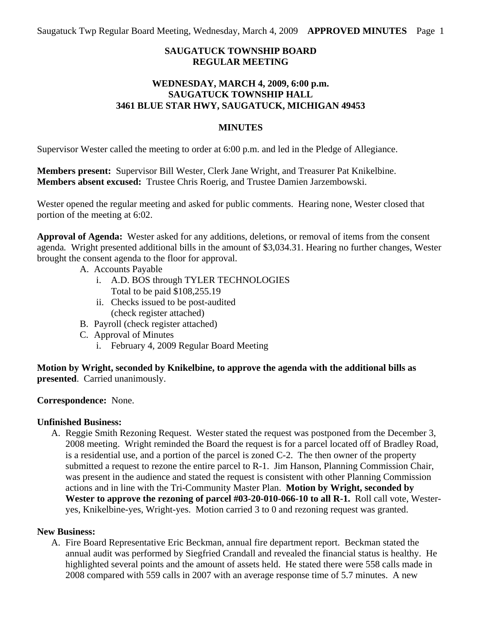Saugatuck Twp Regular Board Meeting, Wednesday, March 4, 2009 **APPROVED MINUTES** Page 1

### **SAUGATUCK TOWNSHIP BOARD REGULAR MEETING**

### **WEDNESDAY, MARCH 4, 2009, 6:00 p.m. SAUGATUCK TOWNSHIP HALL 3461 BLUE STAR HWY, SAUGATUCK, MICHIGAN 49453**

#### **MINUTES**

Supervisor Wester called the meeting to order at 6:00 p.m. and led in the Pledge of Allegiance.

**Members present:** Supervisor Bill Wester, Clerk Jane Wright, and Treasurer Pat Knikelbine. **Members absent excused:** Trustee Chris Roerig, and Trustee Damien Jarzembowski.

Wester opened the regular meeting and asked for public comments. Hearing none, Wester closed that portion of the meeting at 6:02.

**Approval of Agenda:** Wester asked for any additions, deletions, or removal of items from the consent agenda*.* Wright presented additional bills in the amount of \$3,034.31. Hearing no further changes, Wester brought the consent agenda to the floor for approval.

- A. Accounts Payable
	- i. A.D. BOS through TYLER TECHNOLOGIES Total to be paid \$108,255.19
	- ii. Checks issued to be post-audited (check register attached)
- B. Payroll (check register attached)
- C. Approval of Minutes
	- i. February 4, 2009 Regular Board Meeting

**Motion by Wright, seconded by Knikelbine, to approve the agenda with the additional bills as presented**. Carried unanimously.

**Correspondence:** None.

## **Unfinished Business:**

A. Reggie Smith Rezoning Request. Wester stated the request was postponed from the December 3, 2008 meeting. Wright reminded the Board the request is for a parcel located off of Bradley Road, is a residential use, and a portion of the parcel is zoned C-2. The then owner of the property submitted a request to rezone the entire parcel to R-1. Jim Hanson, Planning Commission Chair, was present in the audience and stated the request is consistent with other Planning Commission actions and in line with the Tri-Community Master Plan. **Motion by Wright, seconded by Wester to approve the rezoning of parcel #03-20-010-066-10 to all R-1.** Roll call vote, Westeryes, Knikelbine-yes, Wright-yes. Motion carried 3 to 0 and rezoning request was granted.

## **New Business:**

A. Fire Board Representative Eric Beckman, annual fire department report. Beckman stated the annual audit was performed by Siegfried Crandall and revealed the financial status is healthy. He highlighted several points and the amount of assets held. He stated there were 558 calls made in 2008 compared with 559 calls in 2007 with an average response time of 5.7 minutes. A new